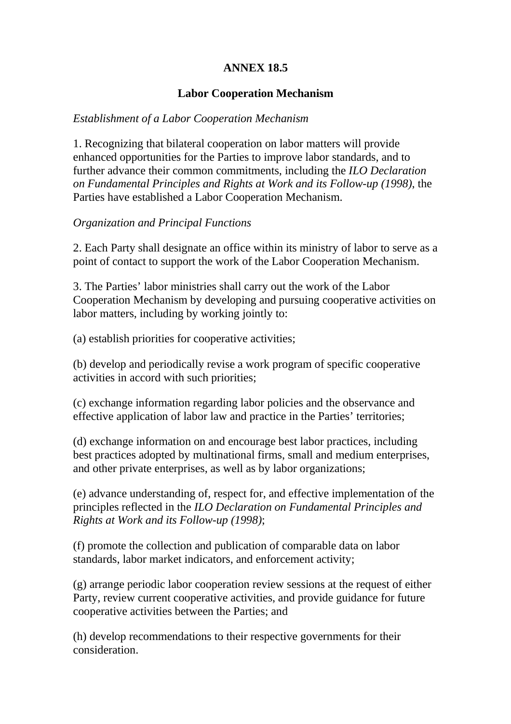# **ANNEX 18.5**

# **Labor Cooperation Mechanism**

# *Establishment of a Labor Cooperation Mechanism*

1. Recognizing that bilateral cooperation on labor matters will provide enhanced opportunities for the Parties to improve labor standards, and to further advance their common commitments, including the *ILO Declaration on Fundamental Principles and Rights at Work and its Follow-up (1998)*, the Parties have established a Labor Cooperation Mechanism.

# *Organization and Principal Functions*

2. Each Party shall designate an office within its ministry of labor to serve as a point of contact to support the work of the Labor Cooperation Mechanism.

3. The Parties' labor ministries shall carry out the work of the Labor Cooperation Mechanism by developing and pursuing cooperative activities on labor matters, including by working jointly to:

(a) establish priorities for cooperative activities;

(b) develop and periodically revise a work program of specific cooperative activities in accord with such priorities;

(c) exchange information regarding labor policies and the observance and effective application of labor law and practice in the Parties' territories;

(d) exchange information on and encourage best labor practices, including best practices adopted by multinational firms, small and medium enterprises, and other private enterprises, as well as by labor organizations;

(e) advance understanding of, respect for, and effective implementation of the principles reflected in the *ILO Declaration on Fundamental Principles and Rights at Work and its Follow-up (1998)*;

(f) promote the collection and publication of comparable data on labor standards, labor market indicators, and enforcement activity;

(g) arrange periodic labor cooperation review sessions at the request of either Party, review current cooperative activities, and provide guidance for future cooperative activities between the Parties; and

(h) develop recommendations to their respective governments for their consideration.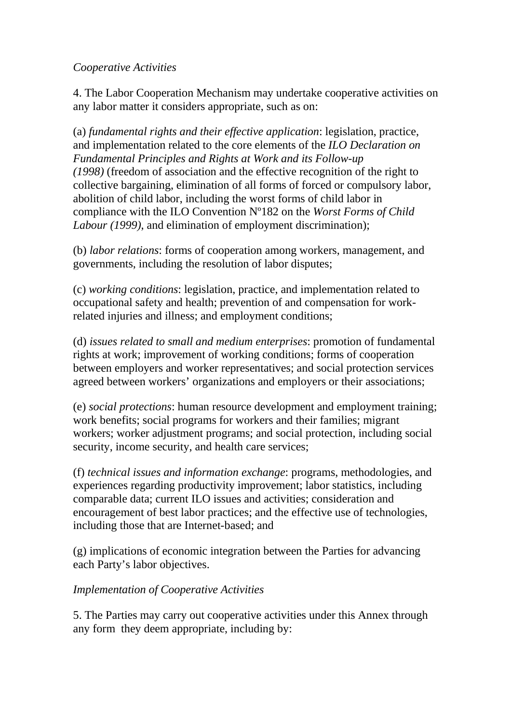## *Cooperative Activities*

4. The Labor Cooperation Mechanism may undertake cooperative activities on any labor matter it considers appropriate, such as on:

(a) *fundamental rights and their effective application*: legislation, practice, and implementation related to the core elements of the *ILO Declaration on Fundamental Principles and Rights at Work and its Follow-up (1998)* (freedom of association and the effective recognition of the right to collective bargaining, elimination of all forms of forced or compulsory labor, abolition of child labor, including the worst forms of child labor in compliance with the ILO Convention Nº182 on the *Worst Forms of Child Labour (1999)*, and elimination of employment discrimination);

(b) *labor relations*: forms of cooperation among workers, management, and governments, including the resolution of labor disputes;

(c) *working conditions*: legislation, practice, and implementation related to occupational safety and health; prevention of and compensation for workrelated injuries and illness; and employment conditions;

(d) *issues related to small and medium enterprises*: promotion of fundamental rights at work; improvement of working conditions; forms of cooperation between employers and worker representatives; and social protection services agreed between workers' organizations and employers or their associations;

(e) *social protections*: human resource development and employment training; work benefits; social programs for workers and their families; migrant workers; worker adjustment programs; and social protection, including social security, income security, and health care services;

(f) *technical issues and information exchange*: programs, methodologies, and experiences regarding productivity improvement; labor statistics, including comparable data; current ILO issues and activities; consideration and encouragement of best labor practices; and the effective use of technologies, including those that are Internet-based; and

(g) implications of economic integration between the Parties for advancing each Party's labor objectives.

# *Implementation of Cooperative Activities*

5. The Parties may carry out cooperative activities under this Annex through any form they deem appropriate, including by: